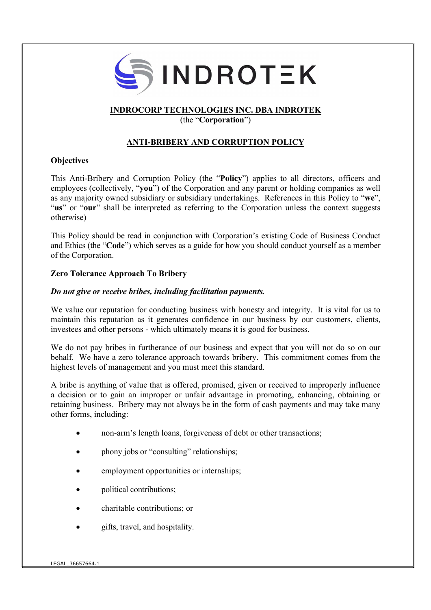

## INDROCORP TECHNOLOGIES INC. DBA INDROTEK

(the "Corporation")

# ANTI-BRIBERY AND CORRUPTION POLICY

## **Objectives**

This Anti-Bribery and Corruption Policy (the "Policy") applies to all directors, officers and employees (collectively, "you") of the Corporation and any parent or holding companies as well as any majority owned subsidiary or subsidiary undertakings. References in this Policy to "we", "us" or "our" shall be interpreted as referring to the Corporation unless the context suggests otherwise)

This Policy should be read in conjunction with Corporation's existing Code of Business Conduct and Ethics (the "Code") which serves as a guide for how you should conduct yourself as a member of the Corporation.

## Zero Tolerance Approach To Bribery

## Do not give or receive bribes, including facilitation payments.

We value our reputation for conducting business with honesty and integrity. It is vital for us to maintain this reputation as it generates confidence in our business by our customers, clients, investees and other persons - which ultimately means it is good for business.

We do not pay bribes in furtherance of our business and expect that you will not do so on our behalf. We have a zero tolerance approach towards bribery. This commitment comes from the highest levels of management and you must meet this standard.

A bribe is anything of value that is offered, promised, given or received to improperly influence a decision or to gain an improper or unfair advantage in promoting, enhancing, obtaining or retaining business. Bribery may not always be in the form of cash payments and may take many other forms, including:

- non-arm's length loans, forgiveness of debt or other transactions;
- phony jobs or "consulting" relationships;
- employment opportunities or internships;
- political contributions;
- charitable contributions; or
- gifts, travel, and hospitality.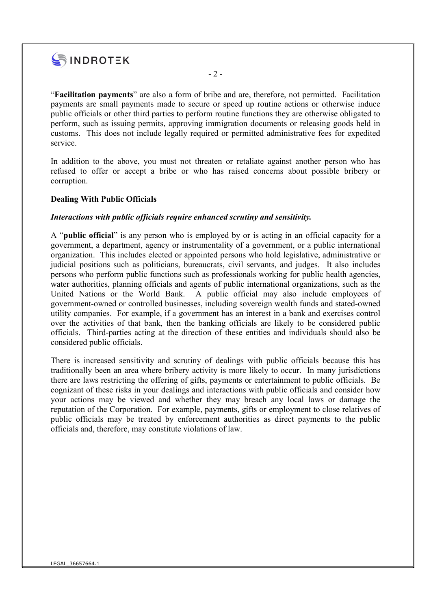

"Facilitation payments" are also a form of bribe and are, therefore, not permitted. Facilitation payments are small payments made to secure or speed up routine actions or otherwise induce public officials or other third parties to perform routine functions they are otherwise obligated to perform, such as issuing permits, approving immigration documents or releasing goods held in customs. This does not include legally required or permitted administrative fees for expedited service.

In addition to the above, you must not threaten or retaliate against another person who has refused to offer or accept a bribe or who has raised concerns about possible bribery or corruption.

### Dealing With Public Officials

#### Interactions with public officials require enhanced scrutiny and sensitivity.

A "public official" is any person who is employed by or is acting in an official capacity for a government, a department, agency or instrumentality of a government, or a public international organization. This includes elected or appointed persons who hold legislative, administrative or judicial positions such as politicians, bureaucrats, civil servants, and judges. It also includes persons who perform public functions such as professionals working for public health agencies, water authorities, planning officials and agents of public international organizations, such as the United Nations or the World Bank. A public official may also include employees of government-owned or controlled businesses, including sovereign wealth funds and stated-owned utility companies. For example, if a government has an interest in a bank and exercises control over the activities of that bank, then the banking officials are likely to be considered public officials. Third-parties acting at the direction of these entities and individuals should also be considered public officials.

There is increased sensitivity and scrutiny of dealings with public officials because this has traditionally been an area where bribery activity is more likely to occur. In many jurisdictions there are laws restricting the offering of gifts, payments or entertainment to public officials. Be cognizant of these risks in your dealings and interactions with public officials and consider how your actions may be viewed and whether they may breach any local laws or damage the reputation of the Corporation. For example, payments, gifts or employment to close relatives of public officials may be treated by enforcement authorities as direct payments to the public officials and, therefore, may constitute violations of law.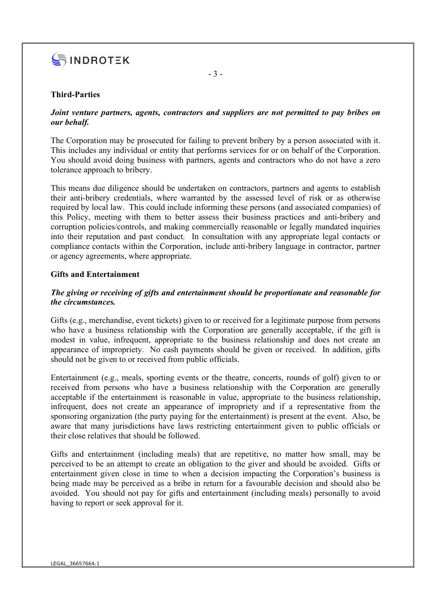

### Third-Parties

### Joint venture partners, agents, contractors and suppliers are not permitted to pay bribes on our behalf.

The Corporation may be prosecuted for failing to prevent bribery by a person associated with it. This includes any individual or entity that performs services for or on behalf of the Corporation. You should avoid doing business with partners, agents and contractors who do not have a zero tolerance approach to bribery.

This means due diligence should be undertaken on contractors, partners and agents to establish their anti-bribery credentials, where warranted by the assessed level of risk or as otherwise required by local law. This could include informing these persons (and associated companies) of this Policy, meeting with them to better assess their business practices and anti-bribery and corruption policies/controls, and making commercially reasonable or legally mandated inquiries into their reputation and past conduct. In consultation with any appropriate legal contacts or compliance contacts within the Corporation, include anti-bribery language in contractor, partner or agency agreements, where appropriate.

### Gifts and Entertainment

## The giving or receiving of gifts and entertainment should be proportionate and reasonable for the circumstances.

Gifts (e.g., merchandise, event tickets) given to or received for a legitimate purpose from persons who have a business relationship with the Corporation are generally acceptable, if the gift is modest in value, infrequent, appropriate to the business relationship and does not create an appearance of impropriety. No cash payments should be given or received. In addition, gifts should not be given to or received from public officials.

Entertainment (e.g., meals, sporting events or the theatre, concerts, rounds of golf) given to or received from persons who have a business relationship with the Corporation are generally acceptable if the entertainment is reasonable in value, appropriate to the business relationship, infrequent, does not create an appearance of impropriety and if a representative from the sponsoring organization (the party paying for the entertainment) is present at the event. Also, be aware that many jurisdictions have laws restricting entertainment given to public officials or their close relatives that should be followed.

Gifts and entertainment (including meals) that are repetitive, no matter how small, may be perceived to be an attempt to create an obligation to the giver and should be avoided. Gifts or entertainment given close in time to when a decision impacting the Corporation's business is being made may be perceived as a bribe in return for a favourable decision and should also be avoided. You should not pay for gifts and entertainment (including meals) personally to avoid having to report or seek approval for it.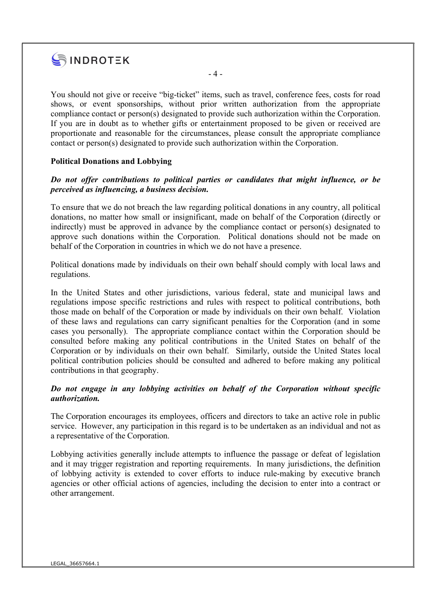

You should not give or receive "big-ticket" items, such as travel, conference fees, costs for road shows, or event sponsorships, without prior written authorization from the appropriate compliance contact or person(s) designated to provide such authorization within the Corporation. If you are in doubt as to whether gifts or entertainment proposed to be given or received are proportionate and reasonable for the circumstances, please consult the appropriate compliance contact or person(s) designated to provide such authorization within the Corporation.

- 4 -

### Political Donations and Lobbying

### Do not offer contributions to political parties or candidates that might influence, or be perceived as influencing, a business decision.

To ensure that we do not breach the law regarding political donations in any country, all political donations, no matter how small or insignificant, made on behalf of the Corporation (directly or indirectly) must be approved in advance by the compliance contact or person(s) designated to approve such donations within the Corporation. Political donations should not be made on behalf of the Corporation in countries in which we do not have a presence.

Political donations made by individuals on their own behalf should comply with local laws and regulations.

In the United States and other jurisdictions, various federal, state and municipal laws and regulations impose specific restrictions and rules with respect to political contributions, both those made on behalf of the Corporation or made by individuals on their own behalf. Violation of these laws and regulations can carry significant penalties for the Corporation (and in some cases you personally). The appropriate compliance contact within the Corporation should be consulted before making any political contributions in the United States on behalf of the Corporation or by individuals on their own behalf. Similarly, outside the United States local political contribution policies should be consulted and adhered to before making any political contributions in that geography.

### Do not engage in any lobbying activities on behalf of the Corporation without specific authorization.

The Corporation encourages its employees, officers and directors to take an active role in public service. However, any participation in this regard is to be undertaken as an individual and not as a representative of the Corporation.

Lobbying activities generally include attempts to influence the passage or defeat of legislation and it may trigger registration and reporting requirements. In many jurisdictions, the definition of lobbying activity is extended to cover efforts to induce rule-making by executive branch agencies or other official actions of agencies, including the decision to enter into a contract or other arrangement.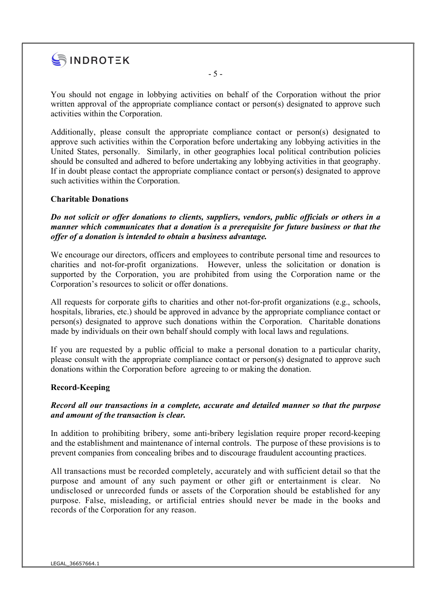

You should not engage in lobbying activities on behalf of the Corporation without the prior written approval of the appropriate compliance contact or person(s) designated to approve such activities within the Corporation.

- 5 -

Additionally, please consult the appropriate compliance contact or person(s) designated to approve such activities within the Corporation before undertaking any lobbying activities in the United States, personally. Similarly, in other geographies local political contribution policies should be consulted and adhered to before undertaking any lobbying activities in that geography. If in doubt please contact the appropriate compliance contact or person(s) designated to approve such activities within the Corporation.

### Charitable Donations

Do not solicit or offer donations to clients, suppliers, vendors, public officials or others in a manner which communicates that a donation is a prerequisite for future business or that the offer of a donation is intended to obtain a business advantage.

We encourage our directors, officers and employees to contribute personal time and resources to charities and not-for-profit organizations. However, unless the solicitation or donation is supported by the Corporation, you are prohibited from using the Corporation name or the Corporation's resources to solicit or offer donations.

All requests for corporate gifts to charities and other not-for-profit organizations (e.g., schools, hospitals, libraries, etc.) should be approved in advance by the appropriate compliance contact or person(s) designated to approve such donations within the Corporation. Charitable donations made by individuals on their own behalf should comply with local laws and regulations.

If you are requested by a public official to make a personal donation to a particular charity, please consult with the appropriate compliance contact or person(s) designated to approve such donations within the Corporation before agreeing to or making the donation.

#### Record-Keeping

### Record all our transactions in a complete, accurate and detailed manner so that the purpose and amount of the transaction is clear.

In addition to prohibiting bribery, some anti-bribery legislation require proper record-keeping and the establishment and maintenance of internal controls. The purpose of these provisions is to prevent companies from concealing bribes and to discourage fraudulent accounting practices.

All transactions must be recorded completely, accurately and with sufficient detail so that the purpose and amount of any such payment or other gift or entertainment is clear. No undisclosed or unrecorded funds or assets of the Corporation should be established for any purpose. False, misleading, or artificial entries should never be made in the books and records of the Corporation for any reason.